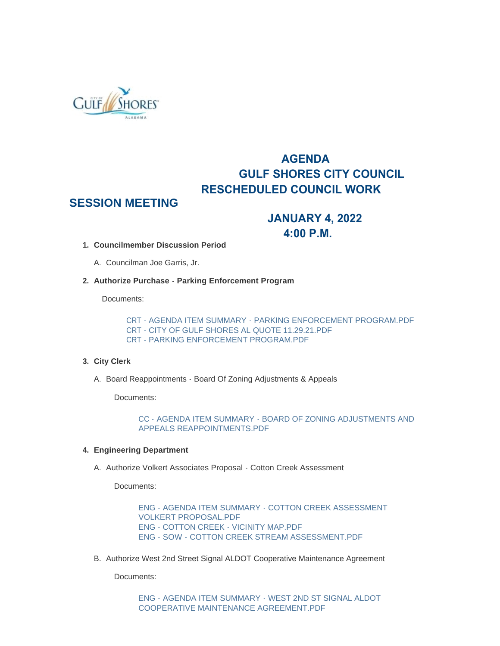

# **AGENDA GULF SHORES CITY COUNCIL RESCHEDULED COUNCIL WORK**

## **SESSION MEETING**

## **JANUARY 4, 2022 4:00 P.M.**

- **Councilmember Discussion Period 1.**
	- A. Councilman Joe Garris, Jr.
- **Authorize Purchase Parking Enforcement Program 2.**

Documents:

[CRT - AGENDA ITEM SUMMARY - PARKING ENFORCEMENT PROGRAM.PDF](https://www.gulfshoresal.gov/AgendaCenter/ViewFile/Item/9624?fileID=19830) CRT - CITY OF GULF SHORES AL QUOTE 11.29.21 PDF [CRT - PARKING ENFORCEMENT PROGRAM.PDF](https://www.gulfshoresal.gov/AgendaCenter/ViewFile/Item/9624?fileID=19832)

### **City Clerk 3.**

A. Board Reappointments - Board Of Zoning Adjustments & Appeals

Documents:

[CC - AGENDA ITEM SUMMARY - BOARD OF ZONING ADJUSTMENTS AND](https://www.gulfshoresal.gov/AgendaCenter/ViewFile/Item/9614?fileID=19793)  APPEALS REAPPOINTMENTS.PDF

### **Engineering Department 4.**

A. Authorize Volkert Associates Proposal - Cotton Creek Assessment

Documents:

[ENG - AGENDA ITEM SUMMARY - COTTON CREEK ASSESSMENT](https://www.gulfshoresal.gov/AgendaCenter/ViewFile/Item/9615?fileID=19794)  VOLKERT PROPOSAL.PDF [ENG - COTTON CREEK - VICINITY MAP.PDF](https://www.gulfshoresal.gov/AgendaCenter/ViewFile/Item/9615?fileID=19795) [ENG - SOW - COTTON CREEK STREAM ASSESSMENT.PDF](https://www.gulfshoresal.gov/AgendaCenter/ViewFile/Item/9615?fileID=19796)

B. Authorize West 2nd Street Signal ALDOT Cooperative Maintenance Agreement

Documents:

[ENG - AGENDA ITEM SUMMARY - WEST 2ND ST SIGNAL ALDOT](https://www.gulfshoresal.gov/AgendaCenter/ViewFile/Item/9616?fileID=19797)  COOPERATIVE MAINTENANCE AGREEMENT PDF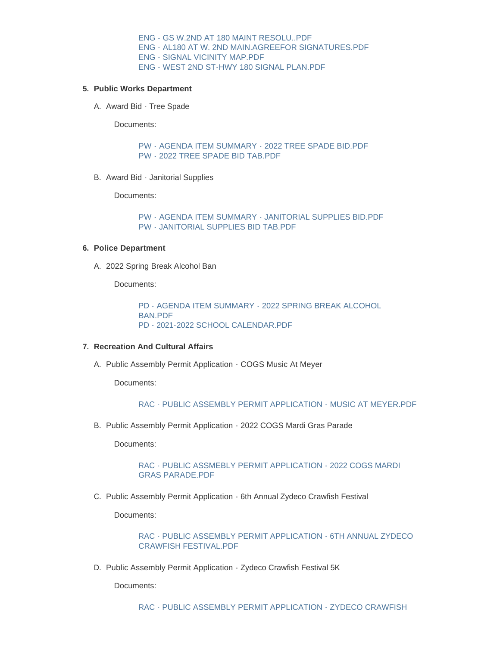[ENG - GS W.2ND AT 180 MAINT RESOLU..PDF](https://www.gulfshoresal.gov/AgendaCenter/ViewFile/Item/9616?fileID=19799) [ENG - AL180 AT W. 2ND MAIN.AGREEFOR SIGNATURES.PDF](https://www.gulfshoresal.gov/AgendaCenter/ViewFile/Item/9616?fileID=19798) [ENG - SIGNAL VICINITY MAP.PDF](https://www.gulfshoresal.gov/AgendaCenter/ViewFile/Item/9616?fileID=19800) [ENG - WEST 2ND ST-HWY 180 SIGNAL PLAN.PDF](https://www.gulfshoresal.gov/AgendaCenter/ViewFile/Item/9616?fileID=19801)

#### **Public Works Department 5.**

A. Award Bid - Tree Spade

Documents:

[PW - AGENDA ITEM SUMMARY - 2022 TREE SPADE BID.PDF](https://www.gulfshoresal.gov/AgendaCenter/ViewFile/Item/9618?fileID=19804) [PW - 2022 TREE SPADE BID TAB.PDF](https://www.gulfshoresal.gov/AgendaCenter/ViewFile/Item/9618?fileID=19805)

B. Award Bid - Janitorial Supplies

Documents:

[PW - AGENDA ITEM SUMMARY - JANITORIAL SUPPLIES BID.PDF](https://www.gulfshoresal.gov/AgendaCenter/ViewFile/Item/9619?fileID=19806) [PW - JANITORIAL SUPPLIES BID TAB.PDF](https://www.gulfshoresal.gov/AgendaCenter/ViewFile/Item/9619?fileID=19807)

#### **Police Department 6.**

2022 Spring Break Alcohol Ban A.

Documents:

[PD - AGENDA ITEM SUMMARY - 2022 SPRING BREAK ALCOHOL](https://www.gulfshoresal.gov/AgendaCenter/ViewFile/Item/9617?fileID=19802)  BAN.PDF [PD - 2021-2022 SCHOOL CALENDAR.PDF](https://www.gulfshoresal.gov/AgendaCenter/ViewFile/Item/9617?fileID=19803)

#### **Recreation And Cultural Affairs 7.**

A. Public Assembly Permit Application - COGS Music At Meyer

Documents:

```
RAC - PUBLIC ASSEMBLY PERMIT APPLICATION - MUSIC AT MEYER.PDF
```
B. Public Assembly Permit Application - 2022 COGS Mardi Gras Parade

Documents:

[RAC - PUBLIC ASSMEBLY PERMIT APPLICATION - 2022 COGS MARDI](https://www.gulfshoresal.gov/AgendaCenter/ViewFile/Item/9620?fileID=19808)  GRAS PARADE.PDF

C. Public Assembly Permit Application - 6th Annual Zydeco Crawfish Festival

Documents:

[RAC - PUBLIC ASSEMBLY PERMIT APPLICATION - 6TH ANNUAL ZYDECO](https://www.gulfshoresal.gov/AgendaCenter/ViewFile/Item/9622?fileID=19810)  CRAWFISH FESTIVAL.PDF

D. Public Assembly Permit Application - Zydeco Crawfish Festival 5K

Documents: